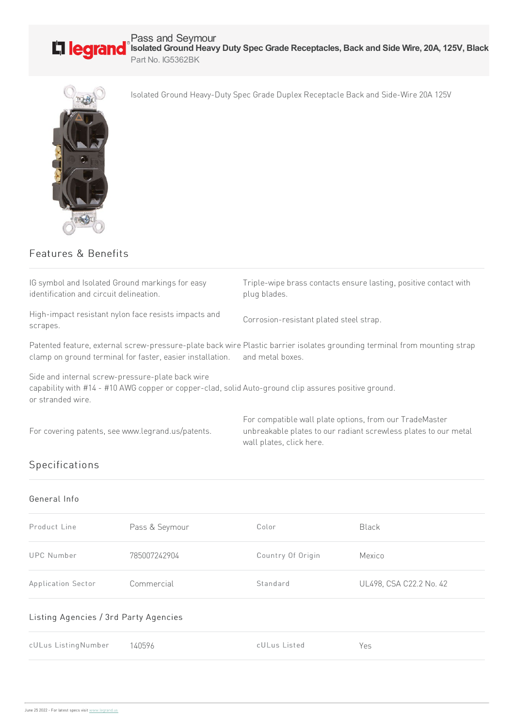

Pass and Seymour **Isolated Ground Heavy Duty Spec Grade Receptacles, Back and Side Wire, 20A, 125V, Black** Part No. IG5362BK

Isolated Ground Heavy-Duty Spec Grade Duplex Receptacle Back and Side-Wire 20A 125V



Features & Benefits

IG symbol and Isolated Ground markings for easy identification and circuit delineation. Triple-wipe brass contacts ensure lasting, positive contact with plug blades. High-impact resistant nylon face resists impacts and scrapes. Corrosion-resistant plated steel strap. Patented feature, external screw-pressure-plate back wire Plastic barrier isolates grounding terminal from mounting strap clamp on ground terminal for faster, easier installation. and metal boxes. Side and internal screw-pressure-plate back wire capability with #14 - #10 AWG copper or copper-clad, solid Auto-ground clip assures positive ground. or stranded wire. For covering patents, see www.legrand.us/patents. For compatible wall plate options, from our TradeMaster unbreakable plates to our radiant screwless plates to our metal wall plates, click here. Specifications General Info

| Product Line       | Pass & Seymour | Color             | <b>Black</b>            |
|--------------------|----------------|-------------------|-------------------------|
| <b>UPC Number</b>  | 785007242904   | Country Of Origin | Mexico                  |
| Application Sector | Commercial     | Standard          | UL498, CSA C22.2 No. 42 |

## Listing Agencies / 3rd Party Agencies

| cULus ListingNumber 140596 | cULus Listed | Yes |
|----------------------------|--------------|-----|
|                            |              |     |